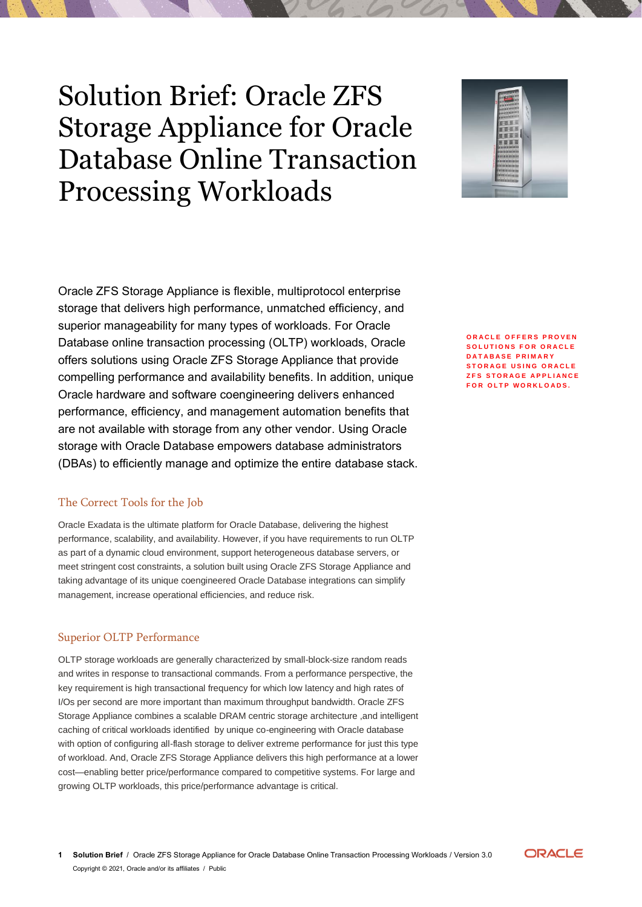# Solution Brief: Oracle ZFS Storage Appliance for Oracle Database Online Transaction Processing Workloads



Oracle ZFS Storage Appliance is flexible, multiprotocol enterprise storage that delivers high performance, unmatched efficiency, and superior manageability for many types of workloads. For Oracle Database online transaction processing (OLTP) workloads, Oracle offers solutions using Oracle ZFS Storage Appliance that provide compelling performance and availability benefits. In addition, unique Oracle hardware and software coengineering delivers enhanced performance, efficiency, and management automation benefits that are not available with storage from any other vendor. Using Oracle storage with Oracle Database empowers database administrators (DBAs) to efficiently manage and optimize the entire database stack.

# The Correct Tools for the Job

Oracle Exadata is the ultimate platform for Oracle Database, delivering the highest performance, scalability, and availability. However, if you have requirements to run OLTP as part of a dynamic cloud environment, support heterogeneous database servers, or meet stringent cost constraints, a solution built using Oracle ZFS Storage Appliance and taking advantage of its unique coengineered Oracle Database integrations can simplify management, increase operational efficiencies, and reduce risk.

# Superior OLTP Performance

OLTP storage workloads are generally characterized by small-block-size random reads and writes in response to transactional commands. From a performance perspective, the key requirement is high transactional frequency for which low latency and high rates of I/Os per second are more important than maximum throughput bandwidth. Oracle ZFS Storage Appliance combines a scalable DRAM centric storage architecture ,and intelligent caching of critical workloads identified by unique co-engineering with Oracle database with option of configuring all-flash storage to deliver extreme performance for just this type of workload. And, Oracle ZFS Storage Appliance delivers this high performance at a lower cost—enabling better price/performance compared to competitive systems. For large and growing OLTP workloads, this price/performance advantage is critical.

**ORACLE OFFERS PROVEN SOLUTIONS FOR ORACLE D A T A B A S E P R I M A R Y STORAGE USING ORACLE ZFS STORAGE APPLIANCE FOR OLTP WORKLOADS.** 

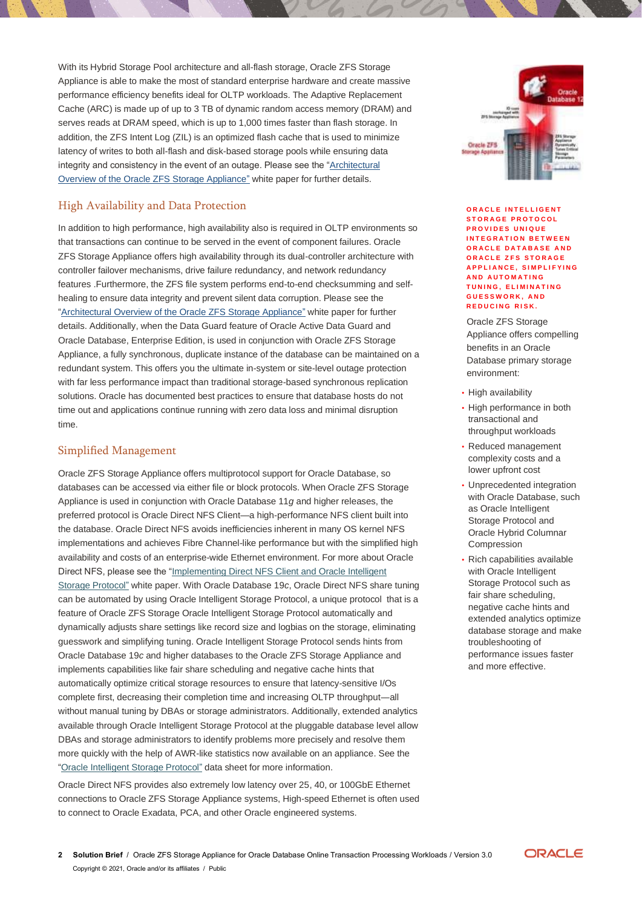With its Hybrid Storage Pool architecture and all-flash storage, Oracle ZFS Storage Appliance is able to make the most of standard enterprise hardware and create massive performance efficiency benefits ideal for OLTP workloads. The Adaptive Replacement Cache (ARC) is made up of up to 3 TB of dynamic random access memory (DRAM) and serves reads at DRAM speed, which is up to 1,000 times faster than flash storage. In addition, the ZFS Intent Log (ZIL) is an optimized flash cache that is used to minimize latency of writes to both all-flash and disk-based storage pools while ensuring data integrity and consistency in the event of an outage. Please see the ["Architectural](http://www.oracle.com/technetwork/server-storage/sun-unified-storage/documentation/o14-001-architecture-overview-zfsa-2099942.pdf)  [Overview of the Oracle ZFS Storage Appliance"](http://www.oracle.com/technetwork/server-storage/sun-unified-storage/documentation/o14-001-architecture-overview-zfsa-2099942.pdf) white paper for further details.

# High Availability and Data Protection

In addition to high performance, high availability also is required in OLTP environments so that transactions can continue to be served in the event of component failures. Oracle ZFS Storage Appliance offers high availability through its dual-controller architecture with controller failover mechanisms, drive failure redundancy, and network redundancy features .Furthermore, the ZFS file system performs end-to-end checksumming and selfhealing to ensure data integrity and prevent silent data corruption. Please see the ["Architectural Overview of the Oracle ZFS Storage Appliance"](http://www.oracle.com/technetwork/server-storage/sun-unified-storage/documentation/o14-001-architecture-overview-zfsa-2099942.pdf) white paper for further details. Additionally, when the Data Guard feature of Oracle Active Data Guard and Oracle Database, Enterprise Edition, is used in conjunction with Oracle ZFS Storage Appliance, a fully synchronous, duplicate instance of the database can be maintained on a redundant system. This offers you the ultimate in-system or site-level outage protection with far less performance impact than traditional storage-based synchronous replication solutions. Oracle has documented best practices to ensure that database hosts do not time out and applications continue running with zero data loss and minimal disruption time.

## Simplified Management

Oracle ZFS Storage Appliance offers multiprotocol support for Oracle Database, so databases can be accessed via either file or block protocols. When Oracle ZFS Storage Appliance is used in conjunction with Oracle Database 11*g* and higher releases, the preferred protocol is Oracle Direct NFS Client—a high-performance NFS client built into the database. Oracle Direct NFS avoids inefficiencies inherent in many OS kernel NFS implementations and achieves Fibre Channel-like performance but with the simplified high availability and costs of an enterprise-wide Ethernet environment. For more about Oracle Direct NFS, please see the ["Implementing Direct NFS Client and Oracle Intelligent](https://us.v-cdn.net/6032257/uploads/jive_attachments/9/1/7/91735154ydoByranib.pdf)  [Storage Protocol"](https://us.v-cdn.net/6032257/uploads/jive_attachments/9/1/7/91735154ydoByranib.pdf) white paper. With Oracle Database 19*c*, Oracle Direct NFS share tuning can be automated by using Oracle Intelligent Storage Protocol, a unique protocol that is a feature of Oracle ZFS Storage Oracle Intelligent Storage Protocol automatically and dynamically adjusts share settings like record size and logbias on the storage, eliminating guesswork and simplifying tuning. Oracle Intelligent Storage Protocol sends hints from Oracle Database 19*c* and higher databases to the Oracle ZFS Storage Appliance and implements capabilities like fair share scheduling and negative cache hints that automatically optimize critical storage resources to ensure that latency-sensitive I/Os complete first, decreasing their completion time and increasing OLTP throughput―all without manual tuning by DBAs or storage administrators. Additionally, extended analytics available through Oracle Intelligent Storage Protocol at the pluggable database level allow DBAs and storage administrators to identify problems more precisely and resolve them more quickly with the help of AWR-like statistics now available on an appliance. See the ["Oracle Intelligent Storage Protocol"](http://www.oracle.com/us/products/servers-storage/storage/nas/oracle-isp-ds-final-2139042.pdf) data sheet for more information.

Oracle Direct NFS provides also extremely low latency over 25, 40, or 100GbE Ethernet connections to Oracle ZFS Storage Appliance systems, High-speed Ethernet is often used to connect to Oracle Exadata, PCA, and other Oracle engineered systems.



#### **ORACLE INTELLIGENT S T O R A G E P R O T O C O L PROVIDES UNIQUE INTEGRATION BETWEEN ORACLE DATABASE AND O R A C L E Z F S S T O R A G E A P P L I A N C E , S I M P L I F Y I N G A N D A U T O M A T I N G T U N I N G , E L I M I N A T I N G G U E S S W O R K , A N D REDUCING RISK.**

Oracle ZFS Storage Appliance offers compelling benefits in an Oracle Database primary storage environment:

- High availability
- High performance in both transactional and throughput workloads
- Reduced management complexity costs and a lower upfront cost
- Unprecedented integration with Oracle Database, such as Oracle Intelligent Storage Protocol and Oracle Hybrid Columnar Compression
- Rich capabilities available with Oracle Intelligent Storage Protocol such as fair share scheduling, negative cache hints and extended analytics optimize database storage and make troubleshooting of performance issues faster and more effective.

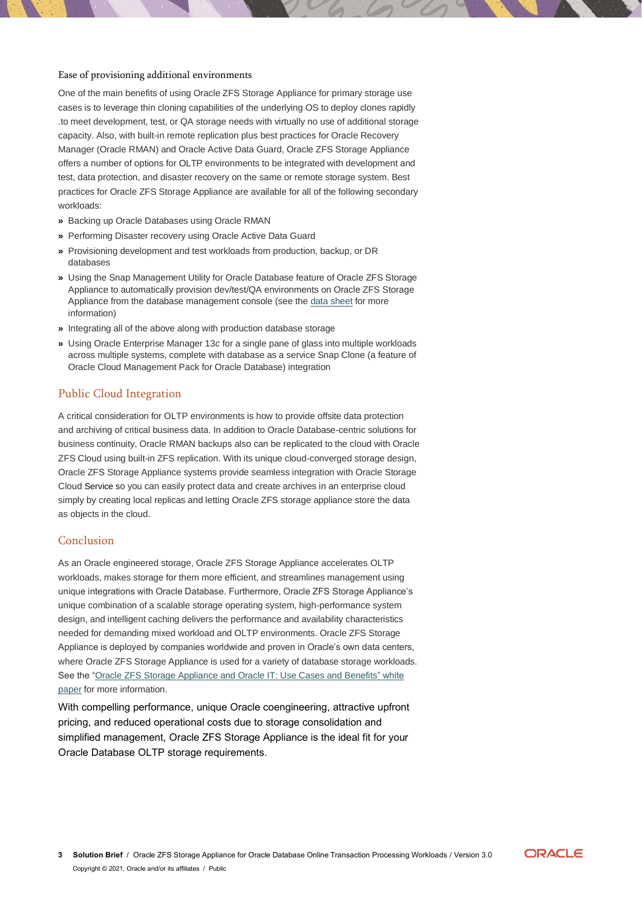## Ease of provisioning additional environments

One of the main benefits of using Oracle ZFS Storage Appliance for primary storage use cases is to leverage thin cloning capabilities of the underlying OS to deploy clones rapidly .to meet development, test, or QA storage needs with virtually no use of additional storage capacity. Also, with built-in remote replication plus best practices for Oracle Recovery Manager (Oracle RMAN) and Oracle Active Data Guard, Oracle ZFS Storage Appliance offers a number of options for OLTP environments to be integrated with development and test, data protection, and disaster recovery on the same or remote storage system. Best practices for Oracle ZFS Storage Appliance are available for all of the following secondary workloads:

- **»** Backing up Oracle Databases using Oracle RMAN
- **»** Performing Disaster recovery using Oracle Active Data Guard
- **»** Provisioning development and test workloads from production, backup, or DR databases
- **»** Using the Snap Management Utility for Oracle Database feature of Oracle ZFS Storage Appliance to automatically provision dev/test/QA environments on Oracle ZFS Storage Appliance from the database management console (see the [data sheet](http://www.oracle.com/us/products/servers-storage/storage/nas/snap/smu-datasheet-1903178.pdf) for more information)
- **»** Integrating all of the above along with production database storage
- **»** Using Oracle Enterprise Manager 13*c* for a single pane of glass into multiple workloads across multiple systems, complete with database as a service Snap Clone (a feature of Oracle Cloud Management Pack for Oracle Database) integration

## Public Cloud Integration

A critical consideration for OLTP environments is how to provide offsite data protection and archiving of critical business data. In addition to Oracle Database-centric solutions for business continuity, Oracle RMAN backups also can be replicated to the cloud with Oracle ZFS Cloud using built-in ZFS replication. With its unique cloud-converged storage design, Oracle ZFS Storage Appliance systems provide seamless integration with Oracle Storage Cloud Service so you can easily protect data and create archives in an enterprise cloud simply by creating local replicas and letting Oracle ZFS storage appliance store the data as objects in the cloud.

## Conclusion

As an Oracle engineered storage, Oracle ZFS Storage Appliance accelerates OLTP workloads, makes storage for them more efficient, and streamlines management using unique integrations with Oracle Database. Furthermore, Oracle ZFS Storage Appliance's unique combination of a scalable storage operating system, high-performance system design, and intelligent caching delivers the performance and availability characteristics needed for demanding mixed workload and OLTP environments. Oracle ZFS Storage Appliance is deployed by companies worldwide and proven in Oracle's own data centers, where Oracle ZFS Storage Appliance is used for a variety of database storage workloads. See the ["Oracle ZFS Storage Appliance and Oracle IT: Use Cases and Benefits"](http://www.oracle.com/us/products/servers-storage/storage/nas/resources/zfssa-oracle-it-wp-2041338.pdf) white paper for more information.

With compelling performance, unique Oracle coengineering, attractive upfront pricing, and reduced operational costs due to storage consolidation and simplified management, Oracle ZFS Storage Appliance is the ideal fit for your Oracle Database OLTP storage requirements.